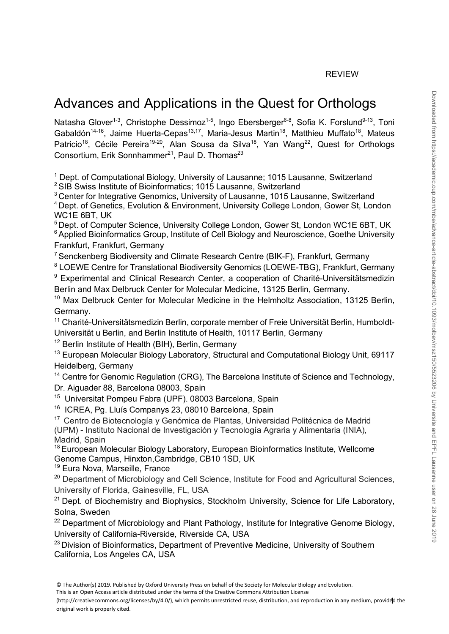# Advances and Applications in the Quest for Orthologs

Natasha Glover<sup>1-3</sup>, Christophe Dessimoz<sup>1-5</sup>, Ingo Ebersberger<sup>6-8</sup>, Sofia K. Forslund<sup>9-13</sup>, Toni Gabaldón<sup>14-16</sup>, Jaime Huerta-Cepas<sup>13,17</sup>, Maria-Jesus Martin<sup>18</sup>, Matthieu Muffato<sup>18</sup>, Mateus Patricio<sup>18</sup>, Cécile Pereira<sup>19-20</sup>, Alan Sousa da Silva<sup>18</sup>, Yan Wang<sup>22</sup>, Quest for Orthologs Consortium, Erik Sonnhammer<sup>21</sup>, Paul D. Thomas<sup>23</sup>

<sup>1</sup> Dept. of Computational Biology, University of Lausanne; 1015 Lausanne, Switzerland

<sup>2</sup> SIB Swiss Institute of Bioinformatics; 1015 Lausanne, Switzerland

<sup>3</sup> Center for Integrative Genomics, University of Lausanne, 1015 Lausanne, Switzerland

4 Dept. of Genetics, Evolution & Environment, University College London, Gower St, London WC1E 6BT, UK

<sup>5</sup> Dept. of Computer Science, University College London, Gower St, London WC1E 6BT, UK <sup>6</sup> Applied Bioinformatics Group, Institute of Cell Biology and Neuroscience, Goethe University Frankfurt, Frankfurt, Germany

<sup>7</sup> Senckenberg Biodiversity and Climate Research Centre (BIK-F), Frankfurt, Germany

<sup>8</sup> LOEWE Centre for Translational Biodiversity Genomics (LOEWE-TBG), Frankfurt, Germany

<sup>9</sup> Experimental and Clinical Research Center, a cooperation of Charité-Universitätsmedizin Berlin and Max Delbruck Center for Molecular Medicine, 13125 Berlin, Germany.

<sup>10</sup> Max Delbruck Center for Molecular Medicine in the Helmholtz Association, 13125 Berlin, Germany.

<sup>11</sup> Charité-Universitätsmedizin Berlin, corporate member of Freie Universität Berlin, Humboldt-Universität u Berlin, and Berlin Institute of Health, 10117 Berlin, Germany

<sup>12</sup> Berlin Institute of Health (BIH), Berlin, Germany

<sup>13</sup> European Molecular Biology Laboratory, Structural and Computational Biology Unit, 69117 Heidelberg, Germany

<sup>14</sup> Centre for Genomic Regulation (CRG), The Barcelona Institute of Science and Technology, Dr. Aiguader 88, Barcelona 08003, Spain

<sup>15</sup> Universitat Pompeu Fabra (UPF). 08003 Barcelona, Spain

16 ICREA, Pg. Lluís Companys 23, 08010 Barcelona, Spain

17 Centro de Biotecnología y Genómica de Plantas, Universidad Politécnica de Madrid

(UPM) - Instituto Nacional de Investigación y Tecnología Agraria y Alimentaria (INIA), Madrid, Spain

<sup>18</sup> European Molecular Biology Laboratory, European Bioinformatics Institute, Wellcome Genome Campus, Hinxton,Cambridge, CB10 1SD, UK

<sup>19</sup> Eura Nova, Marseille, France

<sup>20</sup> Department of Microbiology and Cell Science, Institute for Food and Agricultural Sciences, University of Florida, Gainesville, FL, USA

 $21$  Dept. of Biochemistry and Biophysics, Stockholm University, Science for Life Laboratory, Solna, Sweden

 $22$  Department of Microbiology and Plant Pathology, Institute for Integrative Genome Biology, University of California-Riverside, Riverside CA, USA

<sup>23</sup> Division of Bioinformatics, Department of Preventive Medicine, University of Southern California, Los Angeles CA, USA

This is an Open Access article distributed under the terms of the Creative Commons Attribution License

(http://creativecommons.org/licenses/by/4.0/), which permits unrestricted reuse, distribution, and reproduction in any medium, provided the original work is properly cited.

<sup>©</sup> The Author(s) 2019. Published by Oxford University Press on behalf of the Society for Molecular Biology and Evolution.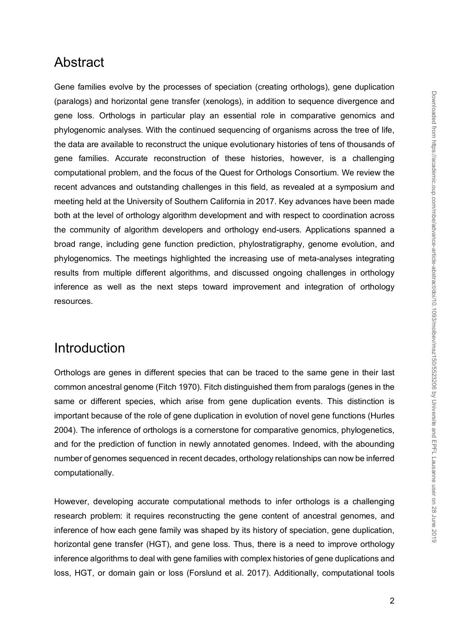### Abstract

Gene families evolve by the processes of speciation (creating orthologs), gene duplication (paralogs) and horizontal gene transfer (xenologs), in addition to sequence divergence and gene loss. Orthologs in particular play an essential role in comparative genomics and phylogenomic analyses. With the continued sequencing of organisms across the tree of life, the data are available to reconstruct the unique evolutionary histories of tens of thousands of gene families. Accurate reconstruction of these histories, however, is a challenging computational problem, and the focus of the Quest for Orthologs Consortium. We review the recent advances and outstanding challenges in this field, as revealed at a symposium and meeting held at the University of Southern California in 2017. Key advances have been made both at the level of orthology algorithm development and with respect to coordination across the community of algorithm developers and orthology end-users. Applications spanned a broad range, including gene function prediction, phylostratigraphy, genome evolution, and phylogenomics. The meetings highlighted the increasing use of meta-analyses integrating results from multiple different algorithms, and discussed ongoing challenges in orthology inference as well as the next steps toward improvement and integration of orthology resources.

# Introduction

Orthologs are genes in different species that can be traced to the same gene in their last common ancestral genome (Fitch 1970). Fitch distinguished them from paralogs (genes in the same or different species, which arise from gene duplication events. This distinction is important because of the role of gene duplication in evolution of novel gene functions (Hurles 2004). The inference of orthologs is a cornerstone for comparative genomics, phylogenetics, and for the prediction of function in newly annotated genomes. Indeed, with the abounding number of genomes sequenced in recent decades, orthology relationships can now be inferred computationally.

However, developing accurate computational methods to infer orthologs is a challenging research problem: it requires reconstructing the gene content of ancestral genomes, and inference of how each gene family was shaped by its history of speciation, gene duplication, horizontal gene transfer (HGT), and gene loss. Thus, there is a need to improve orthology inference algorithms to deal with gene families with complex histories of gene duplications and loss, HGT, or domain gain or loss (Forslund et al. 2017). Additionally, computational tools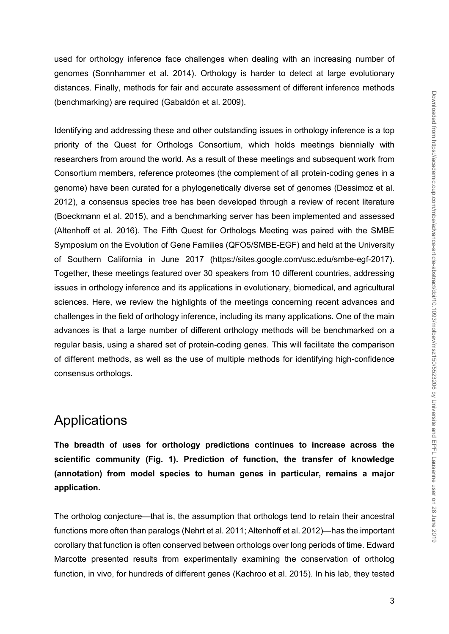used for orthology inference face challenges when dealing with an increasing number of genomes (Sonnhammer et al. 2014). Orthology is harder to detect at large evolutionary distances. Finally, methods for fair and accurate assessment of different inference methods (benchmarking) are required (Gabaldón et al. 2009).

Identifying and addressing these and other outstanding issues in orthology inference is a top priority of the Quest for Orthologs Consortium, which holds meetings biennially with researchers from around the world. As a result of these meetings and subsequent work from Consortium members, reference proteomes (the complement of all protein-coding genes in a genome) have been curated for a phylogenetically diverse set of genomes (Dessimoz et al. 2012), a consensus species tree has been developed through a review of recent literature (Boeckmann et al. 2015), and a benchmarking server has been implemented and assessed (Altenhoff et al. 2016). The Fifth Quest for Orthologs Meeting was paired with the SMBE Symposium on the Evolution of Gene Families (QFO5/SMBE-EGF) and held at the University of Southern California in June 2017 (https://sites.google.com/usc.edu/smbe-egf-2017). Together, these meetings featured over 30 speakers from 10 different countries, addressing issues in orthology inference and its applications in evolutionary, biomedical, and agricultural sciences. Here, we review the highlights of the meetings concerning recent advances and challenges in the field of orthology inference, including its many applications. One of the main advances is that a large number of different orthology methods will be benchmarked on a regular basis, using a shared set of protein-coding genes. This will facilitate the comparison of different methods, as well as the use of multiple methods for identifying high-confidence consensus orthologs.

#### Applications

**The breadth of uses for orthology predictions continues to increase across the scientific community (Fig. 1). Prediction of function, the transfer of knowledge (annotation) from model species to human genes in particular, remains a major application.**

The ortholog conjecture—that is, the assumption that orthologs tend to retain their ancestral functions more often than paralogs (Nehrt et al. 2011; Altenhoff et al. 2012)—has the important corollary that function is often conserved between orthologs over long periods of time. Edward Marcotte presented results from experimentally examining the conservation of ortholog function, in vivo, for hundreds of different genes (Kachroo et al. 2015). In his lab, they tested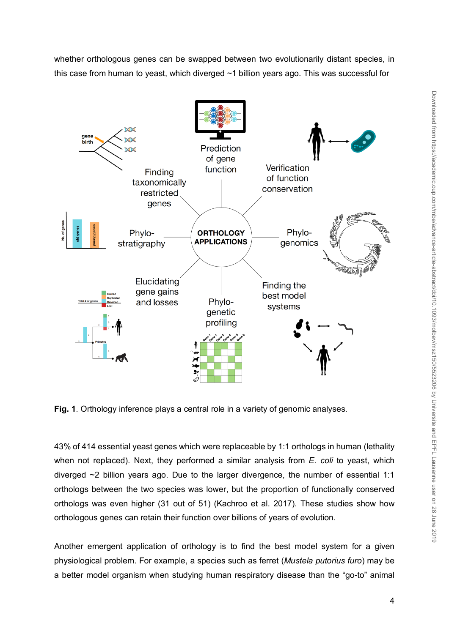whether orthologous genes can be swapped between two evolutionarily distant species, in this case from human to yeast, which diverged ~1 billion years ago. This was successful for



**Fig. 1**. Orthology inference plays a central role in a variety of genomic analyses.

43% of 414 essential yeast genes which were replaceable by 1:1 orthologs in human (lethality when not replaced). Next, they performed a similar analysis from *E. coli* to yeast, which diverged ~2 billion years ago. Due to the larger divergence, the number of essential 1:1 orthologs between the two species was lower, but the proportion of functionally conserved orthologs was even higher (31 out of 51) (Kachroo et al. 2017). These studies show how orthologous genes can retain their function over billions of years of evolution.

Another emergent application of orthology is to find the best model system for a given physiological problem. For example, a species such as ferret (*Mustela putorius furo*) may be a better model organism when studying human respiratory disease than the "go-to" animal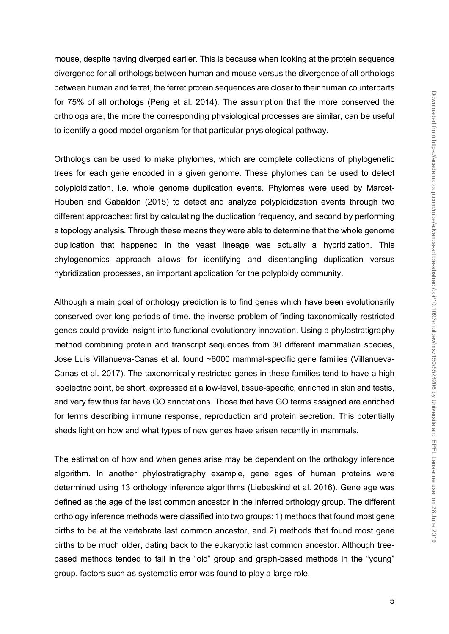mouse, despite having diverged earlier. This is because when looking at the protein sequence divergence for all orthologs between human and mouse versus the divergence of all orthologs between human and ferret, the ferret protein sequences are closer to their human counterparts for 75% of all orthologs (Peng et al. 2014). The assumption that the more conserved the orthologs are, the more the corresponding physiological processes are similar, can be useful to identify a good model organism for that particular physiological pathway.

Orthologs can be used to make phylomes, which are complete collections of phylogenetic trees for each gene encoded in a given genome. These phylomes can be used to detect polyploidization, i.e. whole genome duplication events. Phylomes were used by Marcet-Houben and Gabaldon (2015) to detect and analyze polyploidization events through two different approaches: first by calculating the duplication frequency, and second by performing a topology analysis. Through these means they were able to determine that the whole genome duplication that happened in the yeast lineage was actually a hybridization. This phylogenomics approach allows for identifying and disentangling duplication versus hybridization processes, an important application for the polyploidy community.

Although a main goal of orthology prediction is to find genes which have been evolutionarily conserved over long periods of time, the inverse problem of finding taxonomically restricted genes could provide insight into functional evolutionary innovation. Using a phylostratigraphy method combining protein and transcript sequences from 30 different mammalian species, Jose Luis Villanueva-Canas et al. found ~6000 mammal-specific gene families (Villanueva-Canas et al. 2017). The taxonomically restricted genes in these families tend to have a high isoelectric point, be short, expressed at a low-level, tissue-specific, enriched in skin and testis, and very few thus far have GO annotations. Those that have GO terms assigned are enriched for terms describing immune response, reproduction and protein secretion. This potentially sheds light on how and what types of new genes have arisen recently in mammals.

The estimation of how and when genes arise may be dependent on the orthology inference algorithm. In another phylostratigraphy example, gene ages of human proteins were determined using 13 orthology inference algorithms (Liebeskind et al. 2016). Gene age was defined as the age of the last common ancestor in the inferred orthology group. The different orthology inference methods were classified into two groups: 1) methods that found most gene births to be at the vertebrate last common ancestor, and 2) methods that found most gene births to be much older, dating back to the eukaryotic last common ancestor. Although treebased methods tended to fall in the "old" group and graph-based methods in the "young" group, factors such as systematic error was found to play a large role.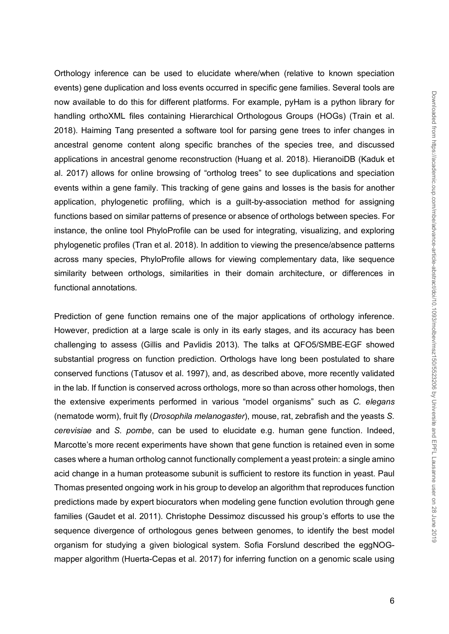Orthology inference can be used to elucidate where/when (relative to known speciation events) gene duplication and loss events occurred in specific gene families. Several tools are now available to do this for different platforms. For example, pyHam is a python library for handling orthoXML files containing Hierarchical Orthologous Groups (HOGs) (Train et al. 2018). Haiming Tang presented a software tool for parsing gene trees to infer changes in ancestral genome content along specific branches of the species tree, and discussed applications in ancestral genome reconstruction (Huang et al. 2018). HieranoiDB (Kaduk et al. 2017) allows for online browsing of "ortholog trees" to see duplications and speciation events within a gene family. This tracking of gene gains and losses is the basis for another application, phylogenetic profiling, which is a guilt-by-association method for assigning functions based on similar patterns of presence or absence of orthologs between species. For instance, the online tool PhyloProfile can be used for integrating, visualizing, and exploring phylogenetic profiles (Tran et al. 2018). In addition to viewing the presence/absence patterns across many species, PhyloProfile allows for viewing complementary data, like sequence similarity between orthologs, similarities in their domain architecture, or differences in functional annotations*.* 

Prediction of gene function remains one of the major applications of orthology inference. However, prediction at a large scale is only in its early stages, and its accuracy has been challenging to assess (Gillis and Pavlidis 2013). The talks at QFO5/SMBE-EGF showed substantial progress on function prediction. Orthologs have long been postulated to share conserved functions (Tatusov et al. 1997), and, as described above, more recently validated in the lab. If function is conserved across orthologs, more so than across other homologs, then the extensive experiments performed in various "model organisms" such as *C. elegans* (nematode worm), fruit fly (*Drosophila melanogaster*), mouse, rat, zebrafish and the yeasts *S. cerevisiae* and *S. pombe*, can be used to elucidate e.g. human gene function. Indeed, Marcotte's more recent experiments have shown that gene function is retained even in some cases where a human ortholog cannot functionally complement a yeast protein: a single amino acid change in a human proteasome subunit is sufficient to restore its function in yeast. Paul Thomas presented ongoing work in his group to develop an algorithm that reproduces function predictions made by expert biocurators when modeling gene function evolution through gene families (Gaudet et al. 2011). Christophe Dessimoz discussed his group's efforts to use the sequence divergence of orthologous genes between genomes, to identify the best model organism for studying a given biological system. Sofia Forslund described the eggNOGmapper algorithm (Huerta-Cepas et al. 2017) for inferring function on a genomic scale using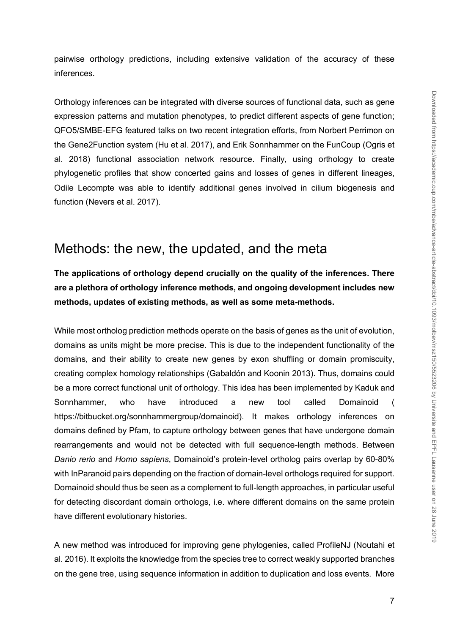pairwise orthology predictions, including extensive validation of the accuracy of these inferences.

Orthology inferences can be integrated with diverse sources of functional data, such as gene expression patterns and mutation phenotypes, to predict different aspects of gene function; QFO5/SMBE-EFG featured talks on two recent integration efforts, from Norbert Perrimon on the Gene2Function system (Hu et al. 2017), and Erik Sonnhammer on the FunCoup (Ogris et al. 2018) functional association network resource. Finally, using orthology to create phylogenetic profiles that show concerted gains and losses of genes in different lineages, Odile Lecompte was able to identify additional genes involved in cilium biogenesis and function (Nevers et al. 2017).

#### Methods: the new, the updated, and the meta

**The applications of orthology depend crucially on the quality of the inferences. There are a plethora of orthology inference methods, and ongoing development includes new methods, updates of existing methods, as well as some meta-methods.**

While most ortholog prediction methods operate on the basis of genes as the unit of evolution, domains as units might be more precise. This is due to the independent functionality of the domains, and their ability to create new genes by exon shuffling or domain promiscuity, creating complex homology relationships (Gabaldón and Koonin 2013). Thus, domains could be a more correct functional unit of orthology. This idea has been implemented by Kaduk and Sonnhammer, who have introduced a new tool called Domainoid ( https://bitbucket.org/sonnhammergroup/domainoid). It makes orthology inferences on domains defined by Pfam, to capture orthology between genes that have undergone domain rearrangements and would not be detected with full sequence-length methods. Between *Danio rerio* and *Homo sapiens*, Domainoid's protein-level ortholog pairs overlap by 60-80% with InParanoid pairs depending on the fraction of domain-level orthologs required for support. Domainoid should thus be seen as a complement to full-length approaches, in particular useful for detecting discordant domain orthologs, i.e. where different domains on the same protein have different evolutionary histories.

A new method was introduced for improving gene phylogenies, called ProfileNJ (Noutahi et al. 2016). It exploits the knowledge from the species tree to correct weakly supported branches on the gene tree, using sequence information in addition to duplication and loss events. More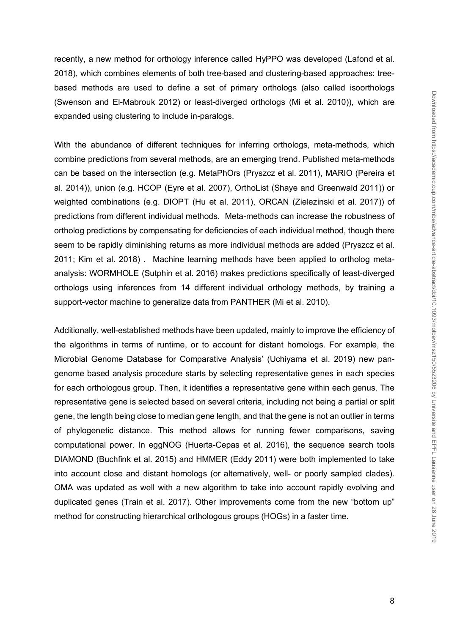recently, a new method for orthology inference called HyPPO was developed (Lafond et al. 2018), which combines elements of both tree-based and clustering-based approaches: treebased methods are used to define a set of primary orthologs (also called isoorthologs (Swenson and El-Mabrouk 2012) or least-diverged orthologs (Mi et al. 2010)), which are expanded using clustering to include in-paralogs.

With the abundance of different techniques for inferring orthologs, meta-methods, which combine predictions from several methods, are an emerging trend. Published meta-methods can be based on the intersection (e.g. MetaPhOrs (Pryszcz et al. 2011), MARIO (Pereira et al. 2014)), union (e.g. HCOP (Eyre et al. 2007), OrthoList (Shaye and Greenwald 2011)) or weighted combinations (e.g. DIOPT (Hu et al. 2011), ORCAN (Zielezinski et al. 2017)) of predictions from different individual methods. Meta-methods can increase the robustness of ortholog predictions by compensating for deficiencies of each individual method, though there seem to be rapidly diminishing returns as more individual methods are added (Pryszcz et al. 2011; Kim et al. 2018) . Machine learning methods have been applied to ortholog metaanalysis: WORMHOLE (Sutphin et al. 2016) makes predictions specifically of least-diverged orthologs using inferences from 14 different individual orthology methods, by training a support-vector machine to generalize data from PANTHER (Mi et al. 2010).

Additionally, well-established methods have been updated, mainly to improve the efficiency of the algorithms in terms of runtime, or to account for distant homologs. For example, the Microbial Genome Database for Comparative Analysis' (Uchiyama et al. 2019) new pangenome based analysis procedure starts by selecting representative genes in each species for each orthologous group. Then, it identifies a representative gene within each genus. The representative gene is selected based on several criteria, including not being a partial or split gene, the length being close to median gene length, and that the gene is not an outlier in terms of phylogenetic distance. This method allows for running fewer comparisons, saving computational power. In eggNOG (Huerta-Cepas et al. 2016), the sequence search tools DIAMOND (Buchfink et al. 2015) and HMMER (Eddy 2011) were both implemented to take into account close and distant homologs (or alternatively, well- or poorly sampled clades). OMA was updated as well with a new algorithm to take into account rapidly evolving and duplicated genes (Train et al. 2017). Other improvements come from the new "bottom up" method for constructing hierarchical orthologous groups (HOGs) in a faster time.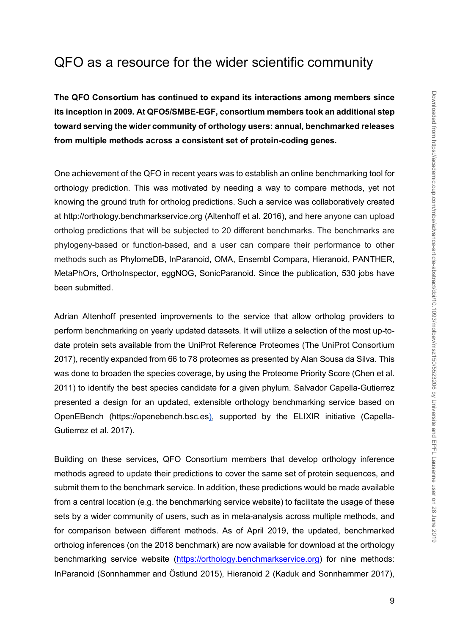## QFO as a resource for the wider scientific community

**The QFO Consortium has continued to expand its interactions among members since its inception in 2009. At QFO5/SMBE-EGF, consortium members took an additional step toward serving the wider community of orthology users: annual, benchmarked releases from multiple methods across a consistent set of protein-coding genes.** 

One achievement of the QFO in recent years was to establish an online benchmarking tool for orthology prediction. This was motivated by needing a way to compare methods, yet not knowing the ground truth for ortholog predictions. Such a service was collaboratively created at http://orthology.benchmarkservice.org (Altenhoff et al. 2016), and here anyone can upload ortholog predictions that will be subjected to 20 different benchmarks. The benchmarks are phylogeny-based or function-based, and a user can compare their performance to other methods such as PhylomeDB, InParanoid, OMA, Ensembl Compara, Hieranoid, PANTHER, MetaPhOrs, OrthoInspector, eggNOG, SonicParanoid. Since the publication, 530 jobs have been submitted.

Adrian Altenhoff presented improvements to the service that allow ortholog providers to perform benchmarking on yearly updated datasets. It will utilize a selection of the most up-todate protein sets available from the UniProt Reference Proteomes (The UniProt Consortium 2017), recently expanded from 66 to 78 proteomes as presented by Alan Sousa da Silva. This was done to broaden the species coverage, by using the Proteome Priority Score (Chen et al. 2011) to identify the best species candidate for a given phylum. Salvador Capella-Gutierrez presented a design for an updated, extensible orthology benchmarking service based on OpenEBench (https://openebench.bsc.es), supported by the ELIXIR initiative (Capella-Gutierrez et al. 2017).

Building on these services, QFO Consortium members that develop orthology inference methods agreed to update their predictions to cover the same set of protein sequences, and submit them to the benchmark service. In addition, these predictions would be made available from a central location (e.g. the benchmarking service website) to facilitate the usage of these sets by a wider community of users, such as in meta-analysis across multiple methods, and for comparison between different methods. As of April 2019, the updated, benchmarked ortholog inferences (on the 2018 benchmark) are now available for download at the orthology benchmarking service website (https://orthology.benchmarkservice.org) for nine methods: InParanoid (Sonnhammer and Östlund 2015), Hieranoid 2 (Kaduk and Sonnhammer 2017),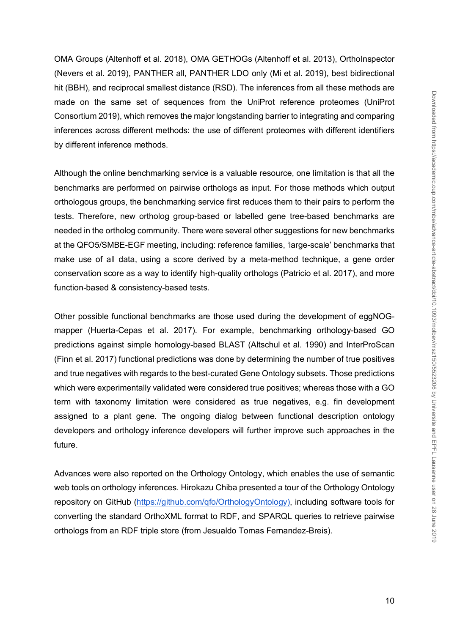OMA Groups (Altenhoff et al. 2018), OMA GETHOGs (Altenhoff et al. 2013), OrthoInspector (Nevers et al. 2019), PANTHER all, PANTHER LDO only (Mi et al. 2019), best bidirectional hit (BBH), and reciprocal smallest distance (RSD). The inferences from all these methods are made on the same set of sequences from the UniProt reference proteomes (UniProt Consortium 2019), which removes the major longstanding barrier to integrating and comparing inferences across different methods: the use of different proteomes with different identifiers by different inference methods.

Although the online benchmarking service is a valuable resource, one limitation is that all the benchmarks are performed on pairwise orthologs as input. For those methods which output orthologous groups, the benchmarking service first reduces them to their pairs to perform the tests. Therefore, new ortholog group-based or labelled gene tree-based benchmarks are needed in the ortholog community. There were several other suggestions for new benchmarks at the QFO5/SMBE-EGF meeting, including: reference families, 'large-scale' benchmarks that make use of all data, using a score derived by a meta-method technique, a gene order conservation score as a way to identify high-quality orthologs (Patricio et al. 2017), and more function-based & consistency-based tests.

Other possible functional benchmarks are those used during the development of eggNOGmapper (Huerta-Cepas et al. 2017). For example, benchmarking orthology-based GO predictions against simple homology-based BLAST (Altschul et al. 1990) and InterProScan (Finn et al. 2017) functional predictions was done by determining the number of true positives and true negatives with regards to the best-curated Gene Ontology subsets. Those predictions which were experimentally validated were considered true positives; whereas those with a GO term with taxonomy limitation were considered as true negatives, e.g. fin development assigned to a plant gene. The ongoing dialog between functional description ontology developers and orthology inference developers will further improve such approaches in the future.

Advances were also reported on the Orthology Ontology, which enables the use of semantic web tools on orthology inferences. Hirokazu Chiba presented a tour of the Orthology Ontology repository on GitHub (https://github.com/qfo/OrthologyOntology), including software tools for converting the standard OrthoXML format to RDF, and SPARQL queries to retrieve pairwise orthologs from an RDF triple store (from Jesualdo Tomas Fernandez-Breis).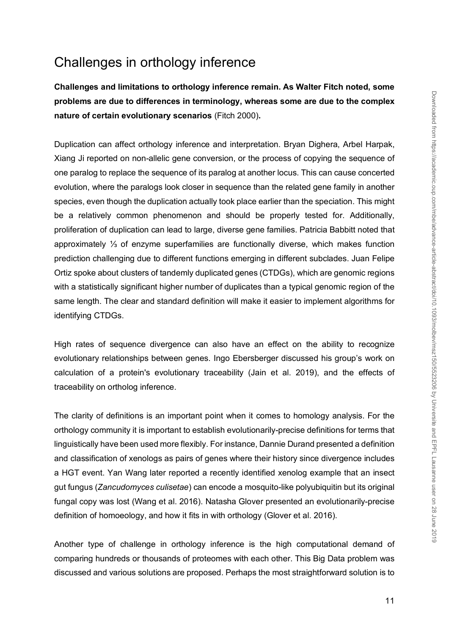# Challenges in orthology inference

**Challenges and limitations to orthology inference remain. As Walter Fitch noted, some problems are due to differences in terminology, whereas some are due to the complex nature of certain evolutionary scenarios** (Fitch 2000)**.**

Duplication can affect orthology inference and interpretation. Bryan Dighera, Arbel Harpak, Xiang Ji reported on non-allelic gene conversion, or the process of copying the sequence of one paralog to replace the sequence of its paralog at another locus. This can cause concerted evolution, where the paralogs look closer in sequence than the related gene family in another species, even though the duplication actually took place earlier than the speciation. This might be a relatively common phenomenon and should be properly tested for. Additionally, proliferation of duplication can lead to large, diverse gene families. Patricia Babbitt noted that approximately ⅓ of enzyme superfamilies are functionally diverse, which makes function prediction challenging due to different functions emerging in different subclades. Juan Felipe Ortiz spoke about clusters of tandemly duplicated genes (CTDGs), which are genomic regions with a statistically significant higher number of duplicates than a typical genomic region of the same length. The clear and standard definition will make it easier to implement algorithms for identifying CTDGs.

High rates of sequence divergence can also have an effect on the ability to recognize evolutionary relationships between genes. Ingo Ebersberger discussed his group's work on calculation of a protein's evolutionary traceability (Jain et al. 2019), and the effects of traceability on ortholog inference.

The clarity of definitions is an important point when it comes to homology analysis. For the orthology community it is important to establish evolutionarily-precise definitions for terms that linguistically have been used more flexibly. For instance, Dannie Durand presented a definition and classification of xenologs as pairs of genes where their history since divergence includes a HGT event. Yan Wang later reported a recently identified xenolog example that an insect gut fungus (*Zancudomyces culisetae*) can encode a mosquito-like polyubiquitin but its original fungal copy was lost (Wang et al. 2016). Natasha Glover presented an evolutionarily-precise definition of homoeology, and how it fits in with orthology (Glover et al. 2016).

Another type of challenge in orthology inference is the high computational demand of comparing hundreds or thousands of proteomes with each other. This Big Data problem was discussed and various solutions are proposed. Perhaps the most straightforward solution is to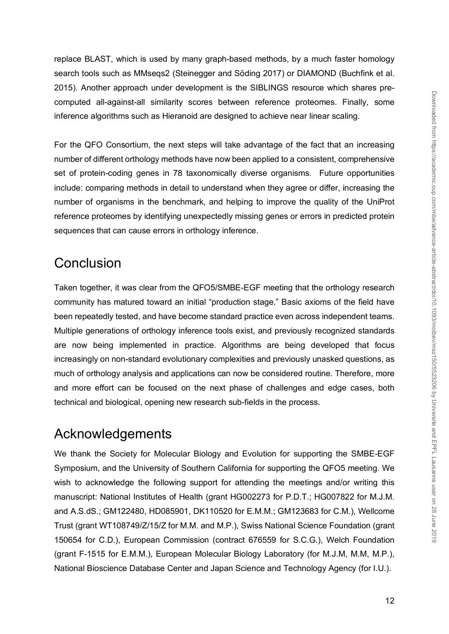replace BLAST, which is used by many graph-based methods, by a much faster homology search tools such as MMseqs2 (Steinegger and Söding 2017) or DIAMOND (Buchfink et al. 2015). Another approach under development is the SIBLINGS resource which shares precomputed all-against-all similarity scores between reference proteomes. Finally, some inference algorithms such as Hieranoid are designed to achieve near linear scaling.

For the QFO Consortium, the next steps will take advantage of the fact that an increasing number of different orthology methods have now been applied to a consistent, comprehensive set of protein-coding genes in 78 taxonomically diverse organisms. Future opportunities include: comparing methods in detail to understand when they agree or differ, increasing the number of organisms in the benchmark, and helping to improve the quality of the UniProt reference proteomes by identifying unexpectedly missing genes or errors in predicted protein sequences that can cause errors in orthology inference.

## **Conclusion**

Taken together, it was clear from the QFO5/SMBE-EGF meeting that the orthology research community has matured toward an initial "production stage." Basic axioms of the field have been repeatedly tested, and have become standard practice even across independent teams. Multiple generations of orthology inference tools exist, and previously recognized standards are now being implemented in practice. Algorithms are being developed that focus increasingly on non-standard evolutionary complexities and previously unasked questions, as much of orthology analysis and applications can now be considered routine. Therefore, more and more effort can be focused on the next phase of challenges and edge cases, both technical and biological, opening new research sub-fields in the process.

## Acknowledgements

We thank the Society for Molecular Biology and Evolution for supporting the SMBE-EGF Symposium, and the University of Southern California for supporting the QFO5 meeting. We wish to acknowledge the following support for attending the meetings and/or writing this manuscript: National Institutes of Health (grant HG002273 for P.D.T.; HG007822 for M.J.M. and A.S.dS.; GM122480, HD085901, DK110520 for E.M.M.; GM123683 for C.M.), Wellcome Trust (grant WT108749/Z/15/Z for M.M. and M.P.), Swiss National Science Foundation (grant 150654 for C.D.), European Commission (contract 676559 for S.C.G.), Welch Foundation (grant F-1515 for E.M.M.), European Molecular Biology Laboratory (for M.J.M, M.M, M.P.), National Bioscience Database Center and Japan Science and Technology Agency (for I.U.).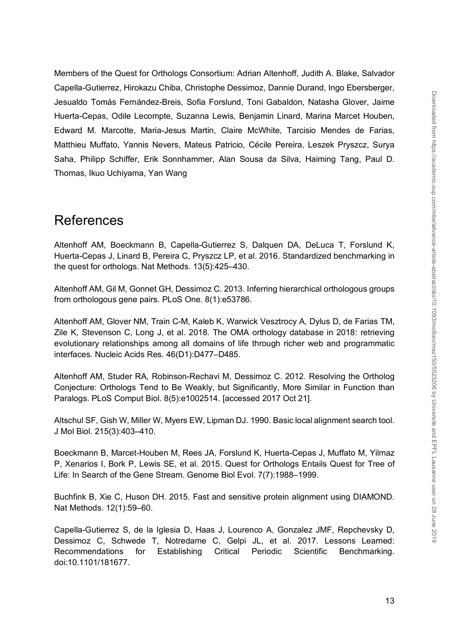Members of the Quest for Orthologs Consortium: Adrian Altenhoff, Judith A. Blake, Salvador Capella-Gutierrez, Hirokazu Chiba, Christophe Dessimoz, Dannie Durand, Ingo Ebersberger, Jesualdo Tomás Fernández-Breis, Sofia Forslund, Toni Gabaldon, Natasha Glover, Jaime Huerta-Cepas, Odile Lecompte, Suzanna Lewis, Benjamin Linard, Marina Marcet Houben, Edward M. Marcotte, Maria-Jesus Martin, Claire McWhite, Tarcisio Mendes de Farias, Matthieu Muffato, Yannis Nevers, Mateus Patricio, Cécile Pereira, Leszek Pryszcz, Surya Saha, Philipp Schiffer, Erik Sonnhammer, Alan Sousa da Silva, Haiming Tang, Paul D. Thomas, Ikuo Uchiyama, Yan Wang

### References

Altenhoff AM, Boeckmann B, Capella-Gutierrez S, Dalquen DA, DeLuca T, Forslund K, Huerta-Cepas J, Linard B, Pereira C, Pryszcz LP, et al. 2016. Standardized benchmarking in the quest for orthologs. Nat Methods. 13(5):425–430.

Altenhoff AM, Gil M, Gonnet GH, Dessimoz C. 2013. Inferring hierarchical orthologous groups from orthologous gene pairs. PLoS One. 8(1):e53786.

Altenhoff AM, Glover NM, Train C-M, Kaleb K, Warwick Vesztrocy A, Dylus D, de Farias TM, Zile K, Stevenson C, Long J, et al. 2018. The OMA orthology database in 2018: retrieving evolutionary relationships among all domains of life through richer web and programmatic interfaces. Nucleic Acids Res. 46(D1):D477–D485.

Altenhoff AM, Studer RA, Robinson-Rechavi M, Dessimoz C. 2012. Resolving the Ortholog Conjecture: Orthologs Tend to Be Weakly, but Significantly, More Similar in Function than Paralogs. PLoS Comput Biol. 8(5):e1002514. [accessed 2017 Oct 21].

Altschul SF, Gish W, Miller W, Myers EW, Lipman DJ. 1990. Basic local alignment search tool. J Mol Biol. 215(3):403–410.

Boeckmann B, Marcet-Houben M, Rees JA, Forslund K, Huerta-Cepas J, Muffato M, Yilmaz P, Xenarios I, Bork P, Lewis SE, et al. 2015. Quest for Orthologs Entails Quest for Tree of Life: In Search of the Gene Stream. Genome Biol Evol. 7(7):1988–1999.

Buchfink B, Xie C, Huson DH. 2015. Fast and sensitive protein alignment using DIAMOND. Nat Methods. 12(1):59–60.

Capella-Gutierrez S, de la Iglesia D, Haas J, Lourenco A, Gonzalez JMF, Repchevsky D, Dessimoz C, Schwede T, Notredame C, Gelpi JL, et al. 2017. Lessons Learned: Recommendations for Establishing Critical Periodic Scientific Benchmarking. doi:10.1101/181677.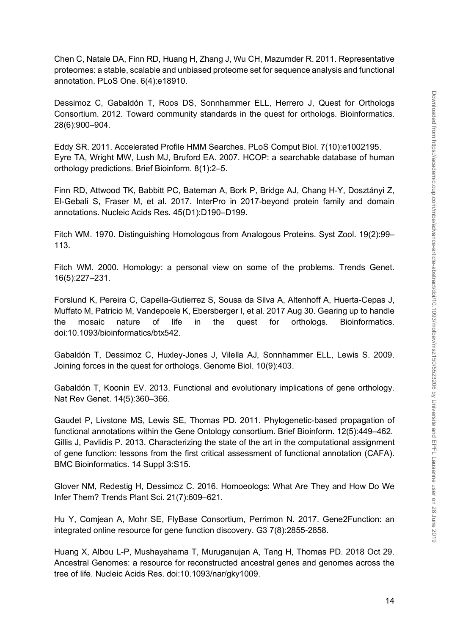Chen C, Natale DA, Finn RD, Huang H, Zhang J, Wu CH, Mazumder R. 2011. Representative proteomes: a stable, scalable and unbiased proteome set for sequence analysis and functional annotation. PLoS One. 6(4):e18910.

Dessimoz C, Gabaldón T, Roos DS, Sonnhammer ELL, Herrero J, Quest for Orthologs Consortium. 2012. Toward community standards in the quest for orthologs. Bioinformatics. 28(6):900–904.

Eddy SR. 2011. Accelerated Profile HMM Searches. PLoS Comput Biol. 7(10):e1002195. Eyre TA, Wright MW, Lush MJ, Bruford EA. 2007. HCOP: a searchable database of human orthology predictions. Brief Bioinform. 8(1):2–5.

Finn RD, Attwood TK, Babbitt PC, Bateman A, Bork P, Bridge AJ, Chang H-Y, Dosztányi Z, El-Gebali S, Fraser M, et al. 2017. InterPro in 2017-beyond protein family and domain annotations. Nucleic Acids Res. 45(D1):D190–D199.

Fitch WM. 1970. Distinguishing Homologous from Analogous Proteins. Syst Zool. 19(2):99– 113.

Fitch WM. 2000. Homology: a personal view on some of the problems. Trends Genet. 16(5):227–231.

Forslund K, Pereira C, Capella-Gutierrez S, Sousa da Silva A, Altenhoff A, Huerta-Cepas J, Muffato M, Patricio M, Vandepoele K, Ebersberger I, et al. 2017 Aug 30. Gearing up to handle the mosaic nature of life in the quest for orthologs. Bioinformatics. doi:10.1093/bioinformatics/btx542.

Gabaldón T, Dessimoz C, Huxley-Jones J, Vilella AJ, Sonnhammer ELL, Lewis S. 2009. Joining forces in the quest for orthologs. Genome Biol. 10(9):403.

Gabaldón T, Koonin EV. 2013. Functional and evolutionary implications of gene orthology. Nat Rev Genet. 14(5):360–366.

Gaudet P, Livstone MS, Lewis SE, Thomas PD. 2011. Phylogenetic-based propagation of functional annotations within the Gene Ontology consortium. Brief Bioinform. 12(5):449–462. Gillis J, Pavlidis P. 2013. Characterizing the state of the art in the computational assignment of gene function: lessons from the first critical assessment of functional annotation (CAFA). BMC Bioinformatics. 14 Suppl 3:S15.

Glover NM, Redestig H, Dessimoz C. 2016. Homoeologs: What Are They and How Do We Infer Them? Trends Plant Sci. 21(7):609–621.

Hu Y, Comjean A, Mohr SE, FlyBase Consortium, Perrimon N. 2017. Gene2Function: an integrated online resource for gene function discovery. G3 7(8):2855-2858.

Huang X, Albou L-P, Mushayahama T, Muruganujan A, Tang H, Thomas PD. 2018 Oct 29. Ancestral Genomes: a resource for reconstructed ancestral genes and genomes across the tree of life. Nucleic Acids Res. doi:10.1093/nar/gky1009.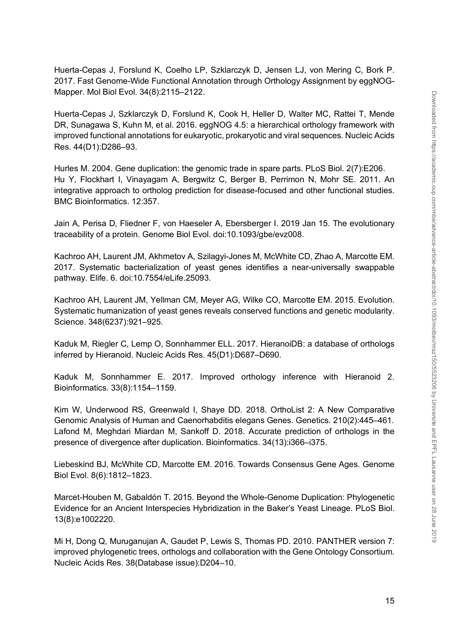Huerta-Cepas J, Forslund K, Coelho LP, Szklarczyk D, Jensen LJ, von Mering C, Bork P. 2017. Fast Genome-Wide Functional Annotation through Orthology Assignment by eggNOG-Mapper. Mol Biol Evol. 34(8):2115–2122.

Huerta-Cepas J, Szklarczyk D, Forslund K, Cook H, Heller D, Walter MC, Rattei T, Mende DR, Sunagawa S, Kuhn M, et al. 2016. eggNOG 4.5: a hierarchical orthology framework with improved functional annotations for eukaryotic, prokaryotic and viral sequences. Nucleic Acids Res. 44(D1):D286–93.

Hurles M. 2004. Gene duplication: the genomic trade in spare parts. PLoS Biol. 2(7):E206. Hu Y, Flockhart I, Vinayagam A, Bergwitz C, Berger B, Perrimon N, Mohr SE. 2011. An integrative approach to ortholog prediction for disease-focused and other functional studies. BMC Bioinformatics. 12:357.

Jain A, Perisa D, Fliedner F, von Haeseler A, Ebersberger I. 2019 Jan 15. The evolutionary traceability of a protein. Genome Biol Evol. doi:10.1093/gbe/evz008.

Kachroo AH, Laurent JM, Akhmetov A, Szilagyi-Jones M, McWhite CD, Zhao A, Marcotte EM. 2017. Systematic bacterialization of yeast genes identifies a near-universally swappable pathway. Elife. 6. doi:10.7554/eLife.25093.

Kachroo AH, Laurent JM, Yellman CM, Meyer AG, Wilke CO, Marcotte EM. 2015. Evolution. Systematic humanization of yeast genes reveals conserved functions and genetic modularity. Science. 348(6237):921–925.

Kaduk M, Riegler C, Lemp O, Sonnhammer ELL. 2017. HieranoiDB: a database of orthologs inferred by Hieranoid. Nucleic Acids Res. 45(D1):D687–D690.

Kaduk M, Sonnhammer E. 2017. Improved orthology inference with Hieranoid 2. Bioinformatics. 33(8):1154–1159.

Kim W, Underwood RS, Greenwald I, Shaye DD. 2018. OrthoList 2: A New Comparative Genomic Analysis of Human and Caenorhabditis elegans Genes. Genetics. 210(2):445–461. Lafond M, Meghdari Miardan M, Sankoff D. 2018. Accurate prediction of orthologs in the presence of divergence after duplication. Bioinformatics. 34(13):i366–i375.

Liebeskind BJ, McWhite CD, Marcotte EM. 2016. Towards Consensus Gene Ages. Genome Biol Evol. 8(6):1812–1823.

Marcet-Houben M, Gabaldón T. 2015. Beyond the Whole-Genome Duplication: Phylogenetic Evidence for an Ancient Interspecies Hybridization in the Baker's Yeast Lineage. PLoS Biol. 13(8):e1002220.

Mi H, Dong Q, Muruganujan A, Gaudet P, Lewis S, Thomas PD. 2010. PANTHER version 7: improved phylogenetic trees, orthologs and collaboration with the Gene Ontology Consortium. Nucleic Acids Res. 38(Database issue):D204–10.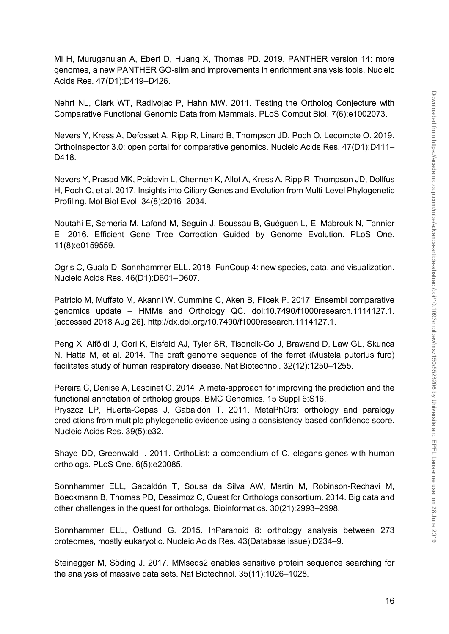Mi H, Muruganujan A, Ebert D, Huang X, Thomas PD. 2019. PANTHER version 14: more genomes, a new PANTHER GO-slim and improvements in enrichment analysis tools. Nucleic Acids Res. 47(D1):D419–D426.

Nehrt NL, Clark WT, Radivojac P, Hahn MW. 2011. Testing the Ortholog Conjecture with Comparative Functional Genomic Data from Mammals. PLoS Comput Biol. 7(6):e1002073.

Nevers Y, Kress A, Defosset A, Ripp R, Linard B, Thompson JD, Poch O, Lecompte O. 2019. OrthoInspector 3.0: open portal for comparative genomics. Nucleic Acids Res. 47(D1):D411– D418.

Nevers Y, Prasad MK, Poidevin L, Chennen K, Allot A, Kress A, Ripp R, Thompson JD, Dollfus H, Poch O, et al. 2017. Insights into Ciliary Genes and Evolution from Multi-Level Phylogenetic Profiling. Mol Biol Evol. 34(8):2016–2034.

Noutahi E, Semeria M, Lafond M, Seguin J, Boussau B, Guéguen L, El-Mabrouk N, Tannier E. 2016. Efficient Gene Tree Correction Guided by Genome Evolution. PLoS One. 11(8):e0159559.

Ogris C, Guala D, Sonnhammer ELL. 2018. FunCoup 4: new species, data, and visualization. Nucleic Acids Res. 46(D1):D601–D607.

Patricio M, Muffato M, Akanni W, Cummins C, Aken B, Flicek P. 2017. Ensembl comparative genomics update – HMMs and Orthology QC. doi:10.7490/f1000research.1114127.1. [accessed 2018 Aug 26]. http://dx.doi.org/10.7490/f1000research.1114127.1.

Peng X, Alföldi J, Gori K, Eisfeld AJ, Tyler SR, Tisoncik-Go J, Brawand D, Law GL, Skunca N, Hatta M, et al. 2014. The draft genome sequence of the ferret (Mustela putorius furo) facilitates study of human respiratory disease. Nat Biotechnol. 32(12):1250–1255.

Pereira C, Denise A, Lespinet O. 2014. A meta-approach for improving the prediction and the functional annotation of ortholog groups. BMC Genomics. 15 Suppl 6:S16. Pryszcz LP, Huerta-Cepas J, Gabaldón T. 2011. MetaPhOrs: orthology and paralogy predictions from multiple phylogenetic evidence using a consistency-based confidence score. Nucleic Acids Res. 39(5):e32.

Shaye DD, Greenwald I. 2011. OrthoList: a compendium of C. elegans genes with human orthologs. PLoS One. 6(5):e20085.

Sonnhammer ELL, Gabaldón T, Sousa da Silva AW, Martin M, Robinson-Rechavi M, Boeckmann B, Thomas PD, Dessimoz C, Quest for Orthologs consortium. 2014. Big data and other challenges in the quest for orthologs. Bioinformatics. 30(21):2993–2998.

Sonnhammer ELL, Östlund G. 2015. InParanoid 8: orthology analysis between 273 proteomes, mostly eukaryotic. Nucleic Acids Res. 43(Database issue):D234–9.

Steinegger M, Söding J. 2017. MMseqs2 enables sensitive protein sequence searching for the analysis of massive data sets. Nat Biotechnol. 35(11):1026–1028.